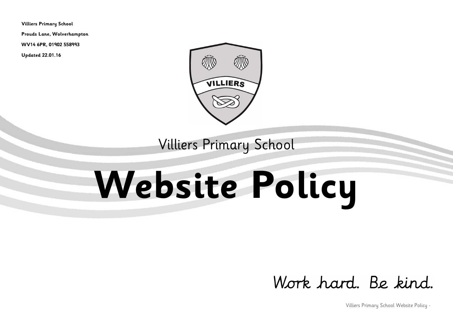**Villiers Primary School**

**Prouds Lane, Wolverhampton**

**WV14 6PR, 01902 558993**

**Updated 22.01.16**



Villiers Primary School

# **Website Policy**

## Work hard, Be kind.

Villiers Primary School Website Policy -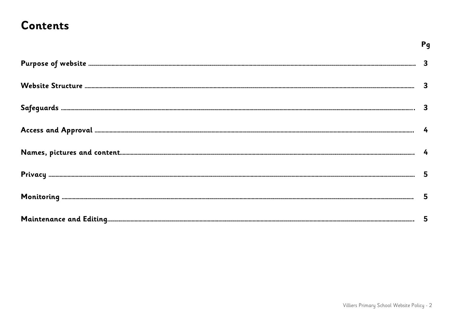### **Contents**

| 3 |
|---|
| 3 |
| 3 |
|   |
|   |
| 5 |
| 5 |
| 5 |

Pg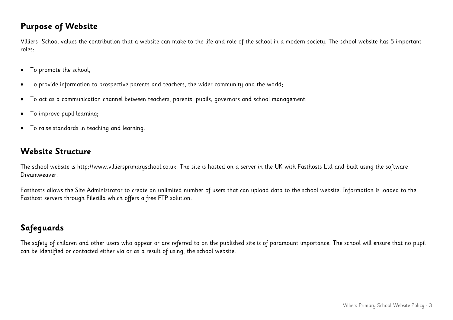#### **Purpose of Website**

Villiers School values the contribution that a website can make to the life and role of the school in a modern society. The school website has 5 important roles:

- To promote the school;
- To provide information to prospective parents and teachers, the wider community and the world;
- To act as a communication channel between teachers, parents, pupils, governors and school management;
- To improve pupil learning;
- To raise standards in teaching and learning.

#### **Website Structure**

The school website is http://www.villiersprimaryschool.co.uk. The site is hosted on a server in the UK with Fasthosts Ltd and built using the software Dreamweaver.

Fasthosts allows the Site Administrator to create an unlimited number of users that can upload data to the school website. Information is loaded to the Fasthost servers through Filezilla which offers a free FTP solution.

#### **Safeguards**

The safety of children and other users who appear or are referred to on the published site is of paramount importance. The school will ensure that no pupil can be identified or contacted either via or as a result of using, the school website.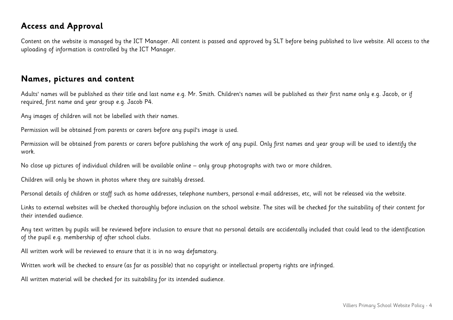#### **Access and Approval**

Content on the website is managed by the ICT Manager. All content is passed and approved by SLT before being published to live website. All access to the uploading of information is controlled by the ICT Manager.

#### **Names, pictures and content**

Adults' names will be published as their title and last name e.g. Mr. Smith. Children's names will be published as their first name only e.g. Jacob, or if required, first name and year group e.g. Jacob P4.

Any images of children will not be labelled with their names.

Permission will be obtained from parents or carers before any pupil's image is used.

Permission will be obtained from parents or carers before publishing the work of any pupil. Only first names and year group will be used to identify the work.

No close up pictures of individual children will be available online – only group photographs with two or more children.

Children will only be shown in photos where they are suitably dressed.

Personal details of children or staff such as home addresses, telephone numbers, personal e-mail addresses, etc, will not be released via the website.

Links to external websites will be checked thoroughly before inclusion on the school website. The sites will be checked for the suitability of their content for their intended audience.

Any text written by pupils will be reviewed before inclusion to ensure that no personal details are accidentally included that could lead to the identification of the pupil e.g. membership of after school clubs.

All written work will be reviewed to ensure that it is in no way defamatory.

Written work will be checked to ensure (as far as possible) that no copyright or intellectual property rights are infringed.

All written material will be checked for its suitability for its intended audience.